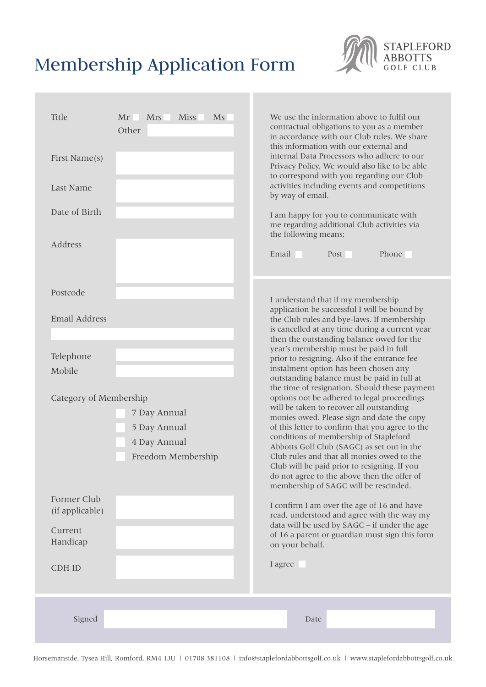# Membership Application Form

| Title<br><b>Miss</b><br>Ms<br>Mr<br><b>Mrs</b><br>Other<br>First Name(s)<br>Last Name<br>Date of Birth<br>Address                                                                                                          | We use the information above to fulfil our<br>contractual obligations to you as a member<br>in accordance with our Club rules. We share<br>this information with our external and<br>internal Data Processors who adhere to our<br>Privacy Policy. We would also like to be able<br>to correspond with you regarding our Club<br>activities including events and competitions<br>by way of email.<br>I am happy for you to communicate with<br>me regarding additional Club activities via<br>the following means;<br>Phone<br>Email<br>Post                                                                                                                                                                                                                                                                                                                                                                                                                                                                                                                                                                                                                             |
|----------------------------------------------------------------------------------------------------------------------------------------------------------------------------------------------------------------------------|--------------------------------------------------------------------------------------------------------------------------------------------------------------------------------------------------------------------------------------------------------------------------------------------------------------------------------------------------------------------------------------------------------------------------------------------------------------------------------------------------------------------------------------------------------------------------------------------------------------------------------------------------------------------------------------------------------------------------------------------------------------------------------------------------------------------------------------------------------------------------------------------------------------------------------------------------------------------------------------------------------------------------------------------------------------------------------------------------------------------------------------------------------------------------|
| Postcode<br><b>Email Address</b><br>Telephone<br>Mobile<br>Category of Membership<br>7 Day Annual<br>5 Day Annual<br>4 Day Annual<br>Freedom Membership<br>Former Club<br>(if applicable)<br>Current<br>Handicap<br>CDH ID | I understand that if my membership<br>application be successful I will be bound by<br>the Club rules and bye-laws. If membership<br>is cancelled at any time during a current year<br>then the outstanding balance owed for the<br>year's membership must be paid in full<br>prior to resigning. Also if the entrance fee<br>instalment option has been chosen any<br>outstanding balance must be paid in full at<br>the time of resignation. Should these payment<br>options not be adhered to legal proceedings<br>will be taken to recover all outstanding<br>monies owed. Please sign and date the copy<br>of this letter to confirm that you agree to the<br>conditions of membership of Stapleford<br>Abbotts Golf Club (SAGC) as set out in the<br>Club rules and that all monies owed to the<br>Club will be paid prior to resigning. If you<br>do not agree to the above then the offer of<br>membership of SAGC will be rescinded.<br>I confirm I am over the age of 16 and have<br>read, understood and agree with the way my<br>data will be used by SAGC - if under the age<br>of 16 a parent or guardian must sign this form<br>on your behalf.<br>I agree |
| Signed                                                                                                                                                                                                                     | Date                                                                                                                                                                                                                                                                                                                                                                                                                                                                                                                                                                                                                                                                                                                                                                                                                                                                                                                                                                                                                                                                                                                                                                     |

STAPLEFORD<br>ABBOTTS<br>GOLF CLUB

Horsemanside, Tysea Hill, Romford, RM4 1JU | 01708 381108 | info@staplefordabbottsgolf.co.uk | www.staplefordabbottsgolf.co.uk